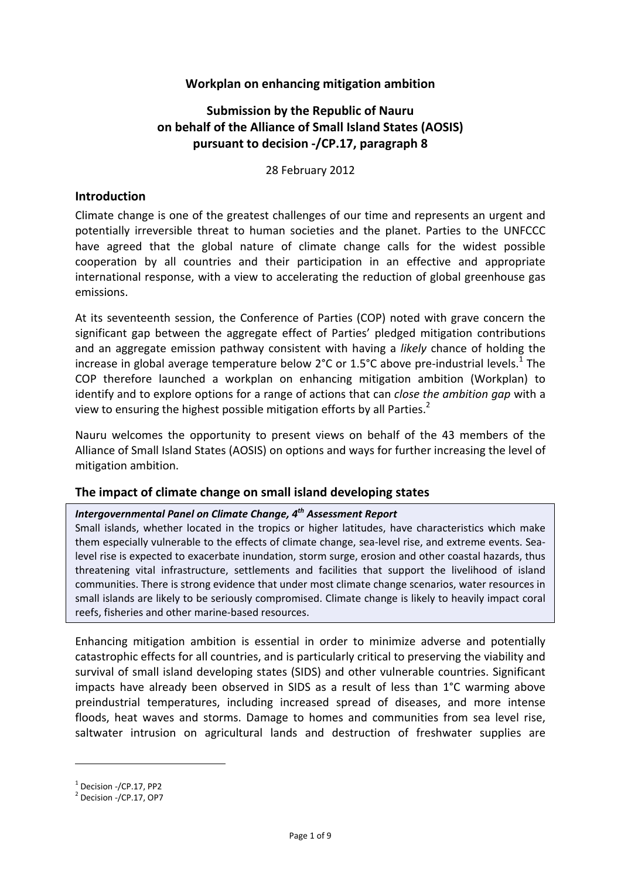### **Workplan on enhancing mitigation ambition**

# **Submission by the Republic of Nauru on behalf of the Alliance of Small Island States (AOSIS) pursuant to decision ‐/CP.17, paragraph 8**

28 February 2012

#### **Introduction**

Climate change is one of the greatest challenges of our time and represents an urgent and potentially irreversible threat to human societies and the planet. Parties to the UNFCCC have agreed that the global nature of climate change calls for the widest possible cooperation by all countries and their participation in an effective and appropriate international response, with a view to accelerating the reduction of global greenhouse gas emissions.

At its seventeenth session, the Conference of Parties (COP) noted with grave concern the significant gap between the aggregate effect of Parties' pledged mitigation contributions and an aggregate emission pathway consistent with having a *likely* chance of holding the increase in global average temperature below 2°C or 1.5°C above pre-industrial levels.<sup>1</sup> The COP therefore launched a workplan on enhancing mitigation ambition (Workplan) to identify and to explore options for a range of actions that can *close the ambition gap* with a view to ensuring the highest possible mitigation efforts by all Parties.<sup>2</sup>

Nauru welcomes the opportunity to present views on behalf of the 43 members of the Alliance of Small Island States (AOSIS) on options and ways for further increasing the level of mitigation ambition.

#### **The impact of climate change on small island developing states**

### *Intergovernmental Panel on Climate Change, 4th Assessment Report*

Small islands, whether located in the tropics or higher latitudes, have characteristics which make them especially vulnerable to the effects of climate change, sea-level rise, and extreme events. Sealevel rise is expected to exacerbate inundation, storm surge, erosion and other coastal hazards, thus threatening vital infrastructure, settlements and facilities that support the livelihood of island communities. There is strong evidence that under most climate change scenarios, water resources in small islands are likely to be seriously compromised. Climate change is likely to heavily impact coral reefs, fisheries and other marine‐based resources.

Enhancing mitigation ambition is essential in order to minimize adverse and potentially catastrophic effects for all countries, and is particularly critical to preserving the viability and survival of small island developing states (SIDS) and other vulnerable countries. Significant impacts have already been observed in SIDS as a result of less than 1°C warming above preindustrial temperatures, including increased spread of diseases, and more intense floods, heat waves and storms. Damage to homes and communities from sea level rise, saltwater intrusion on agricultural lands and destruction of freshwater supplies are

 $\frac{1}{2}$  Decision -/CP.17, PP2<br>  $\frac{2}{2}$  Decision -/CP.17, OP7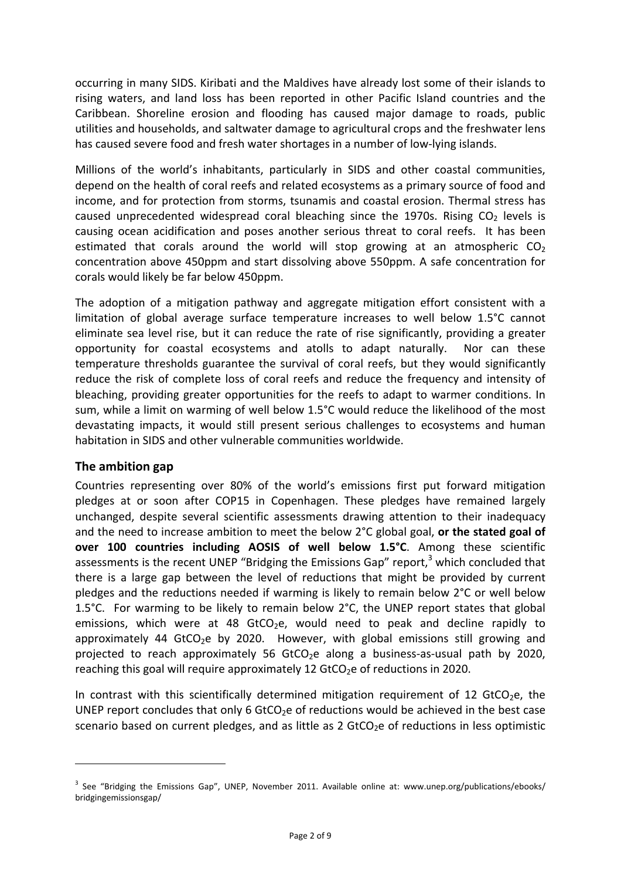occurring in many SIDS. Kiribati and the Maldives have already lost some of their islands to rising waters, and land loss has been reported in other Pacific Island countries and the Caribbean. Shoreline erosion and flooding has caused major damage to roads, public utilities and households, and saltwater damage to agricultural crops and the freshwater lens has caused severe food and fresh water shortages in a number of low‐lying islands.

Millions of the world's inhabitants, particularly in SIDS and other coastal communities, depend on the health of coral reefs and related ecosystems as a primary source of food and income, and for protection from storms, tsunamis and coastal erosion. Thermal stress has caused unprecedented widespread coral bleaching since the 1970s. Rising  $CO<sub>2</sub>$  levels is causing ocean acidification and poses another serious threat to coral reefs. It has been estimated that corals around the world will stop growing at an atmospheric  $CO<sub>2</sub>$ concentration above 450ppm and start dissolving above 550ppm. A safe concentration for corals would likely be far below 450ppm.

The adoption of a mitigation pathway and aggregate mitigation effort consistent with a limitation of global average surface temperature increases to well below 1.5°C cannot eliminate sea level rise, but it can reduce the rate of rise significantly, providing a greater opportunity for coastal ecosystems and atolls to adapt naturally. Nor can these temperature thresholds guarantee the survival of coral reefs, but they would significantly reduce the risk of complete loss of coral reefs and reduce the frequency and intensity of bleaching, providing greater opportunities for the reefs to adapt to warmer conditions. In sum, while a limit on warming of well below 1.5°C would reduce the likelihood of the most devastating impacts, it would still present serious challenges to ecosystems and human habitation in SIDS and other vulnerable communities worldwide.

### **The ambition gap**

Countries representing over 80% of the world's emissions first put forward mitigation pledges at or soon after COP15 in Copenhagen. These pledges have remained largely unchanged, despite several scientific assessments drawing attention to their inadequacy and the need to increase ambition to meet the below 2°C global goal, **or the stated goal of over 100 countries including AOSIS of well below 1.5°C**. Among these scientific assessments is the recent UNEP "Bridging the Emissions Gap" report, $3$  which concluded that there is a large gap between the level of reductions that might be provided by current pledges and the reductions needed if warming is likely to remain below 2°C or well below 1.5°C. For warming to be likely to remain below 2°C, the UNEP report states that global emissions, which were at 48 GtCO<sub>2</sub>e, would need to peak and decline rapidly to approximately 44 GtCO<sub>2</sub>e by 2020. However, with global emissions still growing and projected to reach approximately 56 GtCO<sub>2</sub>e along a business-as-usual path by 2020, reaching this goal will require approximately 12  $GtCO<sub>2</sub>e$  of reductions in 2020.

In contrast with this scientifically determined mitigation requirement of 12 GtCO<sub>2</sub>e, the UNEP report concludes that only 6 GtCO<sub>2</sub>e of reductions would be achieved in the best case scenario based on current pledges, and as little as 2 GtCO<sub>2</sub>e of reductions in less optimistic

 $3$  See "Bridging the Emissions Gap", UNEP, November 2011. Available online at: www.unep.org/publications/ebooks/ bridgingemissionsgap/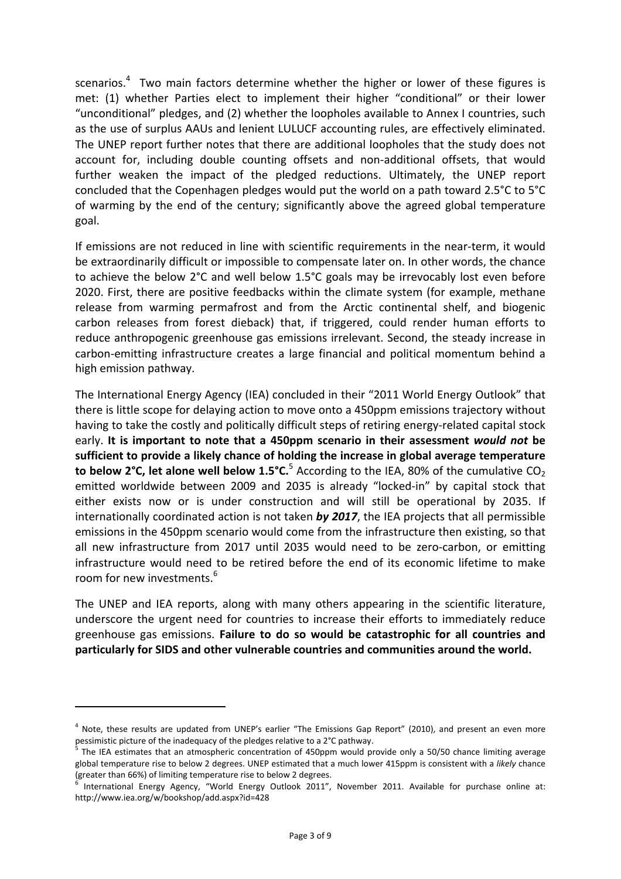scenarios. $4$  Two main factors determine whether the higher or lower of these figures is met: (1) whether Parties elect to implement their higher "conditional" or their lower "unconditional" pledges, and (2) whether the loopholes available to Annex I countries, such as the use of surplus AAUs and lenient LULUCF accounting rules, are effectively eliminated. The UNEP report further notes that there are additional loopholes that the study does not account for, including double counting offsets and non‐additional offsets, that would further weaken the impact of the pledged reductions. Ultimately, the UNEP report concluded that the Copenhagen pledges would put the world on a path toward 2.5°C to 5°C of warming by the end of the century; significantly above the agreed global temperature goal.

If emissions are not reduced in line with scientific requirements in the near-term, it would be extraordinarily difficult or impossible to compensate later on. In other words, the chance to achieve the below 2°C and well below 1.5°C goals may be irrevocably lost even before 2020. First, there are positive feedbacks within the climate system (for example, methane release from warming permafrost and from the Arctic continental shelf, and biogenic carbon releases from forest dieback) that, if triggered, could render human efforts to reduce anthropogenic greenhouse gas emissions irrelevant. Second, the steady increase in carbon‐emitting infrastructure creates a large financial and political momentum behind a high emission pathway.

The International Energy Agency (IEA) concluded in their "2011 World Energy Outlook" that there is little scope for delaying action to move onto a 450ppm emissions trajectory without having to take the costly and politically difficult steps of retiring energy-related capital stock early. **It is important to note that a 450ppm scenario in their assessment** *would not* **be sufficient to provide a likely chance of holding the increase in global average temperature to below 2°C, let alone well below 1.5°C.**<sup>5</sup> According to the IEA, 80% of the cumulative CO<sub>2</sub> emitted worldwide between 2009 and 2035 is already "locked-in" by capital stock that either exists now or is under construction and will still be operational by 2035. If internationally coordinated action is not taken *by 2017*, the IEA projects that all permissible emissions in the 450ppm scenario would come from the infrastructure then existing, so that all new infrastructure from 2017 until 2035 would need to be zero-carbon, or emitting infrastructure would need to be retired before the end of its economic lifetime to make room for new investments.<sup>6</sup>

The UNEP and IEA reports, along with many others appearing in the scientific literature, underscore the urgent need for countries to increase their efforts to immediately reduce greenhouse gas emissions. **Failure to do so would be catastrophic for all countries and particularly for SIDS and other vulnerable countries and communities around the world.**

 $4$  Note, these results are updated from UNEP's earlier "The Emissions Gap Report" (2010), and present an even more pessimistic picture of the inadequacy of the pledges relative to a 2°C pathway.<br><sup>5</sup> The IEA estimates that an atmospheric concentration of 450ppm would provide only a 50/50 chance limiting average

global temperature rise to below 2 degrees. UNEP estimated that a much lower 415ppm is consistent with a *likely* chance (greater than 66%) of limiting temperature rise to below 2 degrees.<br><sup>6</sup> International Energy Agency, "World Energy Outlook 2011", November 2011. Available for purchase online at:

http://www.iea.org/w/bookshop/add.aspx?id=428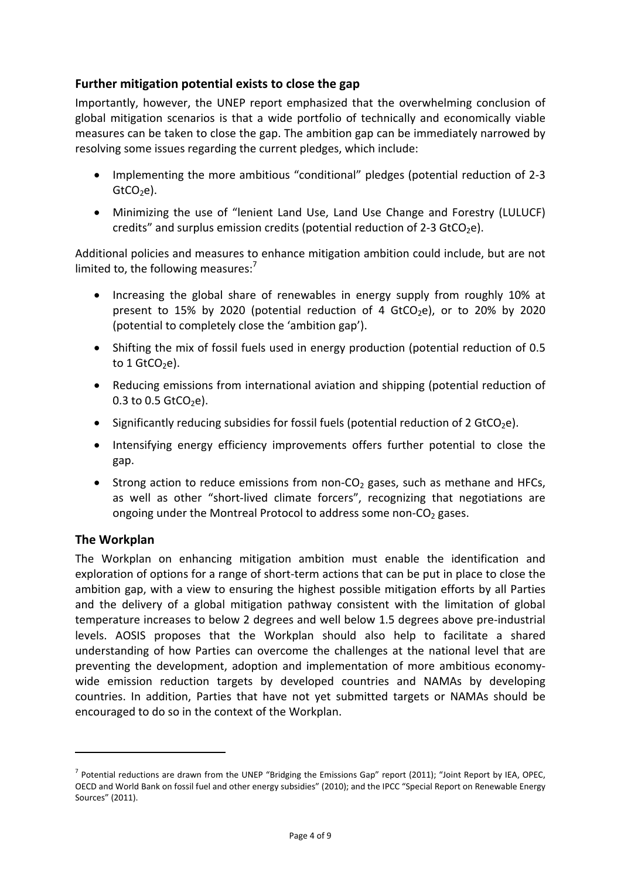### **Further mitigation potential exists to close the gap**

Importantly, however, the UNEP report emphasized that the overwhelming conclusion of global mitigation scenarios is that a wide portfolio of technically and economically viable measures can be taken to close the gap. The ambition gap can be immediately narrowed by resolving some issues regarding the current pledges, which include:

- Implementing the more ambitious "conditional" pledges (potential reduction of 2-3  $GtCO<sub>2</sub>e$ ).
- Minimizing the use of "lenient Land Use, Land Use Change and Forestry (LULUCF) credits" and surplus emission credits (potential reduction of 2-3 GtCO<sub>2</sub>e).

Additional policies and measures to enhance mitigation ambition could include, but are not limited to, the following measures: $^7$ 

- Increasing the global share of renewables in energy supply from roughly 10% at present to 15% by 2020 (potential reduction of 4 GtCO<sub>2</sub>e), or to 20% by 2020 (potential to completely close the 'ambition gap').
- Shifting the mix of fossil fuels used in energy production (potential reduction of 0.5 to  $1$  GtCO<sub>2</sub>e).
- Reducing emissions from international aviation and shipping (potential reduction of 0.3 to 0.5  $GtCO<sub>2</sub>e$ ).
- Significantly reducing subsidies for fossil fuels (potential reduction of 2 GtCO<sub>2</sub>e).
- Intensifying energy efficiency improvements offers further potential to close the gap.
- Strong action to reduce emissions from non- $CO<sub>2</sub>$  gases, such as methane and HFCs, as well as other "short-lived climate forcers", recognizing that negotiations are ongoing under the Montreal Protocol to address some non- $CO<sub>2</sub>$  gases.

### **The Workplan**

The Workplan on enhancing mitigation ambition must enable the identification and exploration of options for a range of short-term actions that can be put in place to close the ambition gap, with a view to ensuring the highest possible mitigation efforts by all Parties and the delivery of a global mitigation pathway consistent with the limitation of global temperature increases to below 2 degrees and well below 1.5 degrees above pre‐industrial levels. AOSIS proposes that the Workplan should also help to facilitate a shared understanding of how Parties can overcome the challenges at the national level that are preventing the development, adoption and implementation of more ambitious economywide emission reduction targets by developed countries and NAMAs by developing countries. In addition, Parties that have not yet submitted targets or NAMAs should be encouraged to do so in the context of the Workplan.

 $^7$  Potential reductions are drawn from the UNEP "Bridging the Emissions Gap" report (2011); "Joint Report by IEA, OPEC, OECD and World Bank on fossil fuel and other energy subsidies" (2010); and the IPCC "Special Report on Renewable Energy Sources" (2011).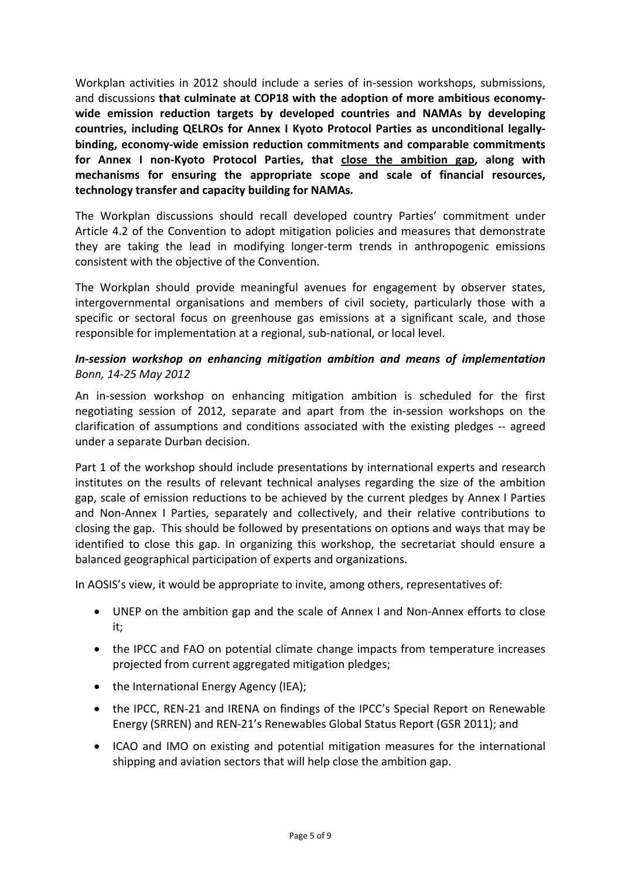Workplan activities in 2012 should include a series of in‐session workshops, submissions, and discussions **that culminate at COP18 with the adoption of more ambitious economy‐ wide emission reduction targets by developed countries and NAMAs by developing countries, including QELROs for Annex I Kyoto Protocol Parties as unconditional legally‐ binding, economy‐wide emission reduction commitments and comparable commitments for Annex I non‐Kyoto Protocol Parties, that close the ambition gap, along with mechanisms for ensuring the appropriate scope and scale of financial resources, technology transfer and capacity building for NAMAs***.*

The Workplan discussions should recall developed country Partiesí commitment under Article 4.2 of the Convention to adopt mitigation policies and measures that demonstrate they are taking the lead in modifying longer‐term trends in anthropogenic emissions consistent with the objective of the Convention.

The Workplan should provide meaningful avenues for engagement by observer states, intergovernmental organisations and members of civil society, particularly those with a specific or sectoral focus on greenhouse gas emissions at a significant scale, and those responsible for implementation at a regional, sub‐national, or local level.

### *In‐session workshop on enhancing mitigation ambition and means of implementation Bonn, 14‐25 May 2012*

An in‐session workshop on enhancing mitigation ambition is scheduled for the first negotiating session of 2012, separate and apart from the in‐session workshops on the clarification of assumptions and conditions associated with the existing pledges ‐‐ agreed under a separate Durban decision.

Part 1 of the workshop should include presentations by international experts and research institutes on the results of relevant technical analyses regarding the size of the ambition gap, scale of emission reductions to be achieved by the current pledges by Annex I Parties and Non‐Annex I Parties, separately and collectively, and their relative contributions to closing the gap. This should be followed by presentations on options and ways that may be identified to close this gap. In organizing this workshop, the secretariat should ensure a balanced geographical participation of experts and organizations.

In AOSIS's view, it would be appropriate to invite, among others, representatives of:

- UNEP on the ambition gap and the scale of Annex I and Non‐Annex efforts to close it;
- the IPCC and FAO on potential climate change impacts from temperature increases projected from current aggregated mitigation pledges;
- the International Energy Agency (IEA);
- the IPCC, REN-21 and IRENA on findings of the IPCC's Special Report on Renewable Energy (SRREN) and REN‐21ís Renewables Global Status Report (GSR 2011); and
- ICAO and IMO on existing and potential mitigation measures for the international shipping and aviation sectors that will help close the ambition gap.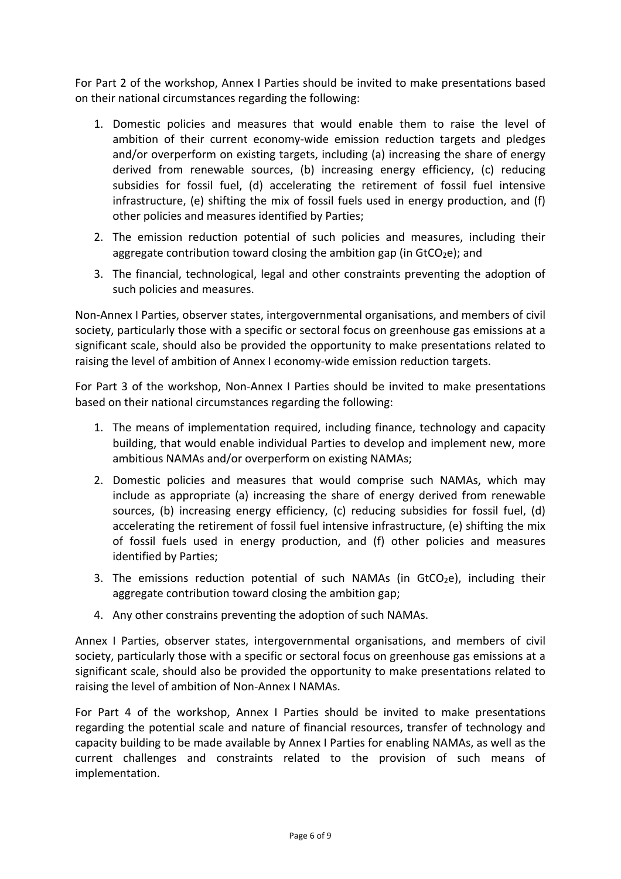For Part 2 of the workshop, Annex I Parties should be invited to make presentations based on their national circumstances regarding the following:

- 1. Domestic policies and measures that would enable them to raise the level of ambition of their current economy‐wide emission reduction targets and pledges and/or overperform on existing targets, including (a) increasing the share of energy derived from renewable sources, (b) increasing energy efficiency, (c) reducing subsidies for fossil fuel, (d) accelerating the retirement of fossil fuel intensive infrastructure, (e) shifting the mix of fossil fuels used in energy production, and (f) other policies and measures identified by Parties;
- 2. The emission reduction potential of such policies and measures, including their aggregate contribution toward closing the ambition gap (in  $G_2e$ ); and
- 3. The financial, technological, legal and other constraints preventing the adoption of such policies and measures.

Non‐Annex I Parties, observer states, intergovernmental organisations, and members of civil society, particularly those with a specific or sectoral focus on greenhouse gas emissions at a significant scale, should also be provided the opportunity to make presentations related to raising the level of ambition of Annex I economy-wide emission reduction targets.

For Part 3 of the workshop, Non‐Annex I Parties should be invited to make presentations based on their national circumstances regarding the following:

- 1. The means of implementation required, including finance, technology and capacity building, that would enable individual Parties to develop and implement new, more ambitious NAMAs and/or overperform on existing NAMAs;
- 2. Domestic policies and measures that would comprise such NAMAs, which may include as appropriate (a) increasing the share of energy derived from renewable sources, (b) increasing energy efficiency, (c) reducing subsidies for fossil fuel, (d) accelerating the retirement of fossil fuel intensive infrastructure, (e) shifting the mix of fossil fuels used in energy production, and (f) other policies and measures identified by Parties;
- 3. The emissions reduction potential of such NAMAs (in  $G_2$ ), including their aggregate contribution toward closing the ambition gap;
- 4. Any other constrains preventing the adoption of such NAMAs.

Annex I Parties, observer states, intergovernmental organisations, and members of civil society, particularly those with a specific or sectoral focus on greenhouse gas emissions at a significant scale, should also be provided the opportunity to make presentations related to raising the level of ambition of Non‐Annex I NAMAs.

For Part 4 of the workshop, Annex I Parties should be invited to make presentations regarding the potential scale and nature of financial resources, transfer of technology and capacity building to be made available by Annex I Parties for enabling NAMAs, as well as the current challenges and constraints related to the provision of such means of implementation.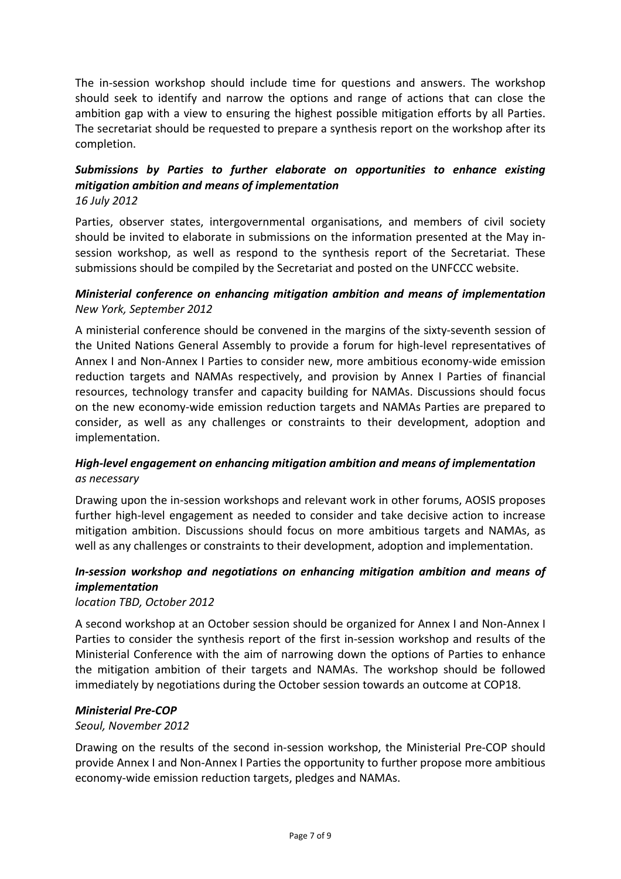The in-session workshop should include time for questions and answers. The workshop should seek to identify and narrow the options and range of actions that can close the ambition gap with a view to ensuring the highest possible mitigation efforts by all Parties. The secretariat should be requested to prepare a synthesis report on the workshop after its completion.

### *Submissions by Parties to further elaborate on opportunities to enhance existing mitigation ambition and means of implementation 16 July 2012*

Parties, observer states, intergovernmental organisations, and members of civil society should be invited to elaborate in submissions on the information presented at the May in‐ session workshop, as well as respond to the synthesis report of the Secretariat. These submissions should be compiled by the Secretariat and posted on the UNFCCC website.

### *Ministerial conference on enhancing mitigation ambition and means of implementation New York, September 2012*

A ministerial conference should be convened in the margins of the sixty‐seventh session of the United Nations General Assembly to provide a forum for high‐level representatives of Annex I and Non‐Annex I Parties to consider new, more ambitious economy‐wide emission reduction targets and NAMAs respectively, and provision by Annex I Parties of financial resources, technology transfer and capacity building for NAMAs. Discussions should focus on the new economy‐wide emission reduction targets and NAMAs Parties are prepared to consider, as well as any challenges or constraints to their development, adoption and implementation.

### *High‐level engagement on enhancing mitigation ambition and means of implementation as necessary*

Drawing upon the in‐session workshops and relevant work in other forums, AOSIS proposes further high-level engagement as needed to consider and take decisive action to increase mitigation ambition. Discussions should focus on more ambitious targets and NAMAs, as well as any challenges or constraints to their development, adoption and implementation.

## *In‐session workshop and negotiations on enhancing mitigation ambition and means of implementation*

*location TBD, October 2012*

A second workshop at an October session should be organized for Annex I and Non‐Annex I Parties to consider the synthesis report of the first in‐session workshop and results of the Ministerial Conference with the aim of narrowing down the options of Parties to enhance the mitigation ambition of their targets and NAMAs. The workshop should be followed immediately by negotiations during the October session towards an outcome at COP18.

#### *Ministerial Pre‐COP*

#### *Seoul, November 2012*

Drawing on the results of the second in‐session workshop, the Ministerial Pre‐COP should provide Annex I and Non‐Annex I Parties the opportunity to further propose more ambitious economy‐wide emission reduction targets, pledges and NAMAs.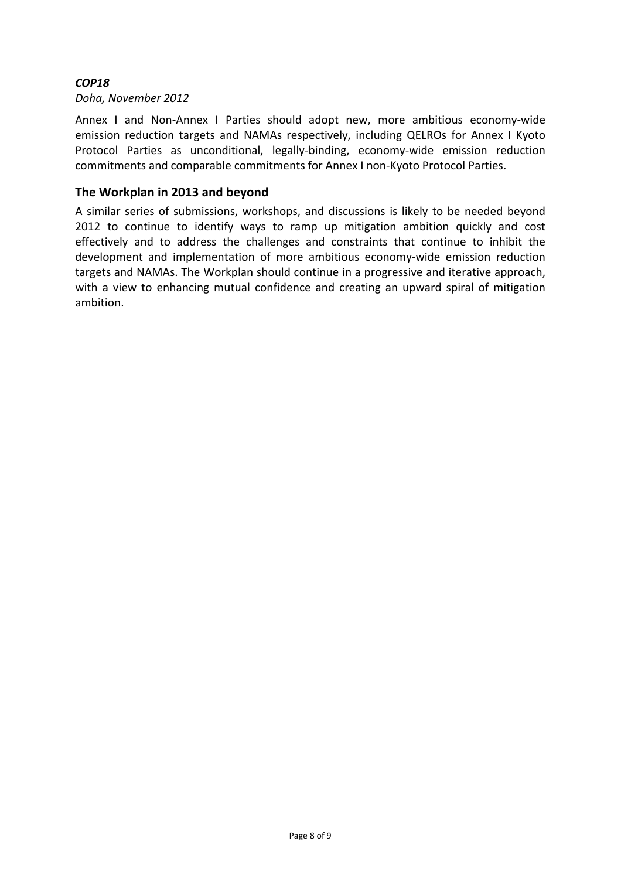### *COP18*

#### *Doha, November 2012*

Annex I and Non-Annex I Parties should adopt new, more ambitious economy-wide emission reduction targets and NAMAs respectively, including QELROs for Annex I Kyoto Protocol Parties as unconditional, legally‐binding, economy‐wide emission reduction commitments and comparable commitments for Annex I non‐Kyoto Protocol Parties.

### **The Workplan in 2013 and beyond**

A similar series of submissions, workshops, and discussions is likely to be needed beyond 2012 to continue to identify ways to ramp up mitigation ambition quickly and cost effectively and to address the challenges and constraints that continue to inhibit the development and implementation of more ambitious economy‐wide emission reduction targets and NAMAs. The Workplan should continue in a progressive and iterative approach, with a view to enhancing mutual confidence and creating an upward spiral of mitigation ambition.